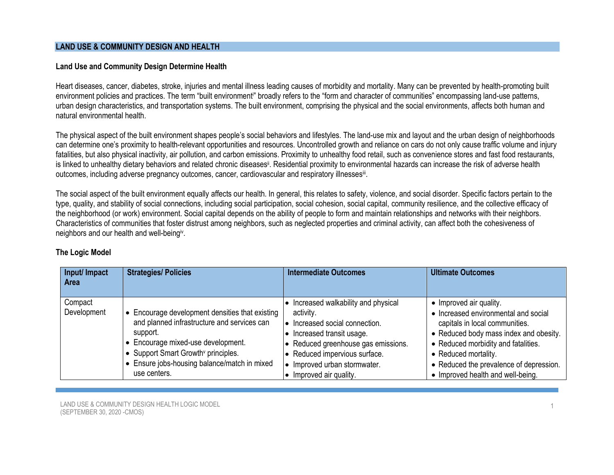### **LAND USE & COMMUNITY DESIGN AND HEALTH**

### **Land Use and Community Design Determine Health**

Heart diseases, cancer, diabetes, stroke, injuries and mental illness leading causes of morbidity and mortality. Many can be prevented by health-promoting built environment policies and practices. The term "built environment" broadly refers to the "form and character of communities" encompassing land-use patterns, urban design characteristics, and transportation systems. The built environment, comprising the physical and the social environments, affects both human and natural environmental health.

The physical aspect of the built environment shapes people's social behaviors and lifestyles. The land-use mix and layout and the urban design of neighborhoods can determine one's proximity to health-relevant opportunities and resources. Uncontrolled growth and reliance on cars do not only cause traffic volume and injury fatalities, but also physical inactivity, air pollution, and carbon emissions. Proximity to unhealthy food retail, such as convenience stores and fast food restaurants, is linked to unhealthy dietary behaviors and related chronic diseases<sup>ii</sup>. Residential proximity to environmental hazards can increase the risk of adverse health outcomes, including adverse pregnancy outcomes, cancer, cardiovascular and respiratory illnesses<sup>iii</sup>.

The social aspect of the built environment equally affects our health. In general, this relates to safety, violence, and social disorder. Specific factors pertain to the type, quality, and stability of social connections, including social participation, social cohesion, social capital, community resilience, and the collective efficacy of the neighborhood (or work) environment. Social capital depends on the ability of people to form and maintain relationships and networks with their neighbors. Characteristics of communities that foster distrust among neighbors, such as neglected properties and criminal activity, can affect both the cohesiveness of neighbors and our health and well-being<sup>iv</sup>.

| Input/ Impact<br><b>Area</b> | <b>Strategies/ Policies</b>                                                                                                                                                                                                                                     | <b>Intermediate Outcomes</b>                                                                                                                                                                                                           | <b>Ultimate Outcomes</b>                                                                                                                                                                                                                                                                   |
|------------------------------|-----------------------------------------------------------------------------------------------------------------------------------------------------------------------------------------------------------------------------------------------------------------|----------------------------------------------------------------------------------------------------------------------------------------------------------------------------------------------------------------------------------------|--------------------------------------------------------------------------------------------------------------------------------------------------------------------------------------------------------------------------------------------------------------------------------------------|
| Compact<br>Development       | Encourage development densities that existing<br>and planned infrastructure and services can<br>support.<br>• Encourage mixed-use development.<br>Support Smart Growth <sup>v</sup> principles.<br>• Ensure jobs-housing balance/match in mixed<br>use centers. | Increased walkability and physical<br>activity.<br>Increased social connection.<br>Increased transit usage.<br>Reduced greenhouse gas emissions.<br>Reduced impervious surface.<br>Improved urban stormwater.<br>Improved air quality. | • Improved air quality.<br>• Increased environmental and social<br>capitals in local communities.<br>• Reduced body mass index and obesity.<br>• Reduced morbidity and fatalities.<br>• Reduced mortality.<br>• Reduced the prevalence of depression.<br>• Improved health and well-being. |

# **The Logic Model**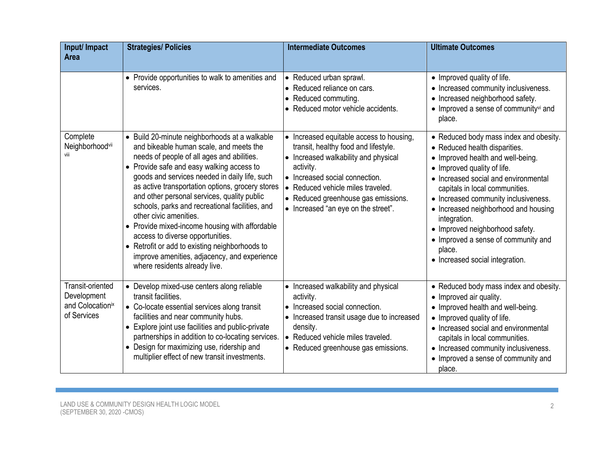| Input/ Impact<br><b>Area</b>                                       | <b>Strategies/ Policies</b>                                                                                                                                                                                                                                                                                                                                                                                                                                                                                                                                                                                                                   | <b>Intermediate Outcomes</b>                                                                                                                                                                                                                                                                          | <b>Ultimate Outcomes</b>                                                                                                                                                                                                                                                                                                                                                                                                                     |
|--------------------------------------------------------------------|-----------------------------------------------------------------------------------------------------------------------------------------------------------------------------------------------------------------------------------------------------------------------------------------------------------------------------------------------------------------------------------------------------------------------------------------------------------------------------------------------------------------------------------------------------------------------------------------------------------------------------------------------|-------------------------------------------------------------------------------------------------------------------------------------------------------------------------------------------------------------------------------------------------------------------------------------------------------|----------------------------------------------------------------------------------------------------------------------------------------------------------------------------------------------------------------------------------------------------------------------------------------------------------------------------------------------------------------------------------------------------------------------------------------------|
|                                                                    | • Provide opportunities to walk to amenities and<br>services.                                                                                                                                                                                                                                                                                                                                                                                                                                                                                                                                                                                 | • Reduced urban sprawl.<br>• Reduced reliance on cars.<br>Reduced commuting.<br>$\bullet$<br>• Reduced motor vehicle accidents.                                                                                                                                                                       | • Improved quality of life.<br>• Increased community inclusiveness.<br>• Increased neighborhood safety.<br>• Improved a sense of communityvi and<br>place.                                                                                                                                                                                                                                                                                   |
| Complete<br>Neighborhoodvii<br>viii                                | • Build 20-minute neighborhoods at a walkable<br>and bikeable human scale, and meets the<br>needs of people of all ages and abilities.<br>• Provide safe and easy walking access to<br>goods and services needed in daily life, such<br>as active transportation options, grocery stores<br>and other personal services, quality public<br>schools, parks and recreational facilities, and<br>other civic amenities.<br>• Provide mixed-income housing with affordable<br>access to diverse opportunities.<br>• Retrofit or add to existing neighborhoods to<br>improve amenities, adjacency, and experience<br>where residents already live. | Increased equitable access to housing,<br>$\bullet$<br>transit, healthy food and lifestyle.<br>• Increased walkability and physical<br>activity.<br>• Increased social connection.<br>• Reduced vehicle miles traveled.<br>• Reduced greenhouse gas emissions.<br>• Increased "an eye on the street". | • Reduced body mass index and obesity.<br>• Reduced health disparities.<br>• Improved health and well-being.<br>• Improved quality of life.<br>• Increased social and environmental<br>capitals in local communities.<br>• Increased community inclusiveness.<br>• Increased neighborhood and housing<br>integration.<br>• Improved neighborhood safety.<br>• Improved a sense of community and<br>place.<br>• Increased social integration. |
| Transit-oriented<br>Development<br>and Colocationix<br>of Services | • Develop mixed-use centers along reliable<br>transit facilities.<br>• Co-locate essential services along transit<br>facilities and near community hubs.<br>• Explore joint use facilities and public-private<br>partnerships in addition to co-locating services.<br>• Design for maximizing use, ridership and<br>multiplier effect of new transit investments.                                                                                                                                                                                                                                                                             | • Increased walkability and physical<br>activity.<br>• Increased social connection.<br>Increased transit usage due to increased<br>density.<br>• Reduced vehicle miles traveled.<br>• Reduced greenhouse gas emissions.                                                                               | • Reduced body mass index and obesity.<br>• Improved air quality.<br>• Improved health and well-being.<br>• Improved quality of life.<br>• Increased social and environmental<br>capitals in local communities.<br>• Increased community inclusiveness.<br>• Improved a sense of community and<br>place.                                                                                                                                     |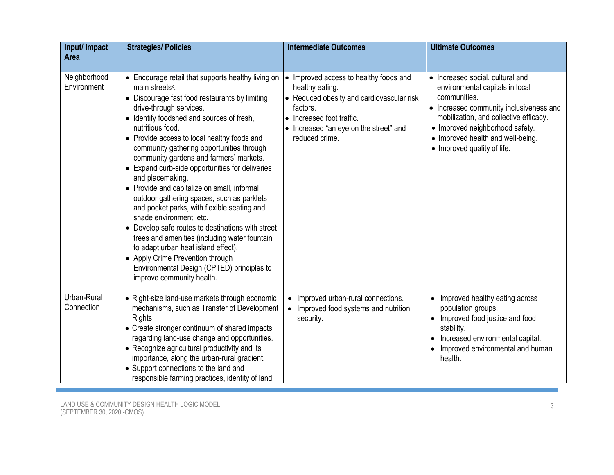| Input/ Impact<br><b>Area</b> | <b>Strategies/ Policies</b>                                                                                                                                                                                                                                                                                                                                                                                                                                                                                                                                                                                                                                                                                                                                                                                                                                                      | <b>Intermediate Outcomes</b>                                                                                                                                                                                                    | <b>Ultimate Outcomes</b>                                                                                                                                                                                                                                                        |
|------------------------------|----------------------------------------------------------------------------------------------------------------------------------------------------------------------------------------------------------------------------------------------------------------------------------------------------------------------------------------------------------------------------------------------------------------------------------------------------------------------------------------------------------------------------------------------------------------------------------------------------------------------------------------------------------------------------------------------------------------------------------------------------------------------------------------------------------------------------------------------------------------------------------|---------------------------------------------------------------------------------------------------------------------------------------------------------------------------------------------------------------------------------|---------------------------------------------------------------------------------------------------------------------------------------------------------------------------------------------------------------------------------------------------------------------------------|
|                              |                                                                                                                                                                                                                                                                                                                                                                                                                                                                                                                                                                                                                                                                                                                                                                                                                                                                                  |                                                                                                                                                                                                                                 |                                                                                                                                                                                                                                                                                 |
| Neighborhood<br>Environment  | • Encourage retail that supports healthy living on<br>main streets <sup>x</sup> .<br>• Discourage fast food restaurants by limiting<br>drive-through services.<br>• Identify foodshed and sources of fresh,<br>nutritious food.<br>• Provide access to local healthy foods and<br>community gathering opportunities through<br>community gardens and farmers' markets.<br>• Expand curb-side opportunities for deliveries<br>and placemaking.<br>• Provide and capitalize on small, informal<br>outdoor gathering spaces, such as parklets<br>and pocket parks, with flexible seating and<br>shade environment, etc.<br>• Develop safe routes to destinations with street<br>trees and amenities (including water fountain<br>to adapt urban heat island effect).<br>• Apply Crime Prevention through<br>Environmental Design (CPTED) principles to<br>improve community health. | Improved access to healthy foods and<br>$\bullet$<br>healthy eating.<br>• Reduced obesity and cardiovascular risk<br>factors.<br>Increased foot traffic.<br>$\bullet$<br>Increased "an eye on the street" and<br>reduced crime. | • Increased social, cultural and<br>environmental capitals in local<br>communities.<br>• Increased community inclusiveness and<br>mobilization, and collective efficacy.<br>• Improved neighborhood safety.<br>• Improved health and well-being.<br>• Improved quality of life. |
| Urban-Rural<br>Connection    | • Right-size land-use markets through economic<br>mechanisms, such as Transfer of Development<br>Rights.<br>• Create stronger continuum of shared impacts<br>regarding land-use change and opportunities.<br>• Recognize agricultural productivity and its<br>importance, along the urban-rural gradient.<br>• Support connections to the land and<br>responsible farming practices, identity of land                                                                                                                                                                                                                                                                                                                                                                                                                                                                            | • Improved urban-rural connections.<br>• Improved food systems and nutrition<br>security.                                                                                                                                       | Improved healthy eating across<br>population groups.<br>Improved food justice and food<br>$\bullet$<br>stability.<br>Increased environmental capital.<br>Improved environmental and human<br>health.                                                                            |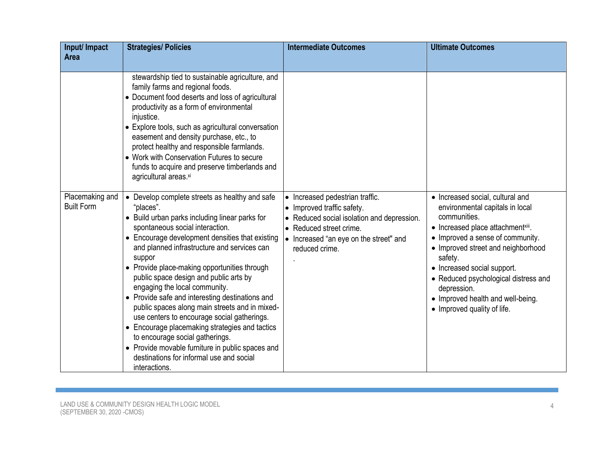| Input/ Impact                        | <b>Strategies/ Policies</b>                                                                                                                                                                                                                                                                                                                                                                                                                                                                                                                                                                                                                                                                                                                       | <b>Intermediate Outcomes</b>                                                                                                                                                                     | <b>Ultimate Outcomes</b>                                                                                                                                                                                                                                                                                                                                                |
|--------------------------------------|---------------------------------------------------------------------------------------------------------------------------------------------------------------------------------------------------------------------------------------------------------------------------------------------------------------------------------------------------------------------------------------------------------------------------------------------------------------------------------------------------------------------------------------------------------------------------------------------------------------------------------------------------------------------------------------------------------------------------------------------------|--------------------------------------------------------------------------------------------------------------------------------------------------------------------------------------------------|-------------------------------------------------------------------------------------------------------------------------------------------------------------------------------------------------------------------------------------------------------------------------------------------------------------------------------------------------------------------------|
| Area                                 |                                                                                                                                                                                                                                                                                                                                                                                                                                                                                                                                                                                                                                                                                                                                                   |                                                                                                                                                                                                  |                                                                                                                                                                                                                                                                                                                                                                         |
|                                      | stewardship tied to sustainable agriculture, and<br>family farms and regional foods.<br>• Document food deserts and loss of agricultural<br>productivity as a form of environmental<br>injustice.<br>• Explore tools, such as agricultural conversation<br>easement and density purchase, etc., to<br>protect healthy and responsible farmlands.<br>• Work with Conservation Futures to secure<br>funds to acquire and preserve timberlands and<br>agricultural areas.xi                                                                                                                                                                                                                                                                          |                                                                                                                                                                                                  |                                                                                                                                                                                                                                                                                                                                                                         |
| Placemaking and<br><b>Built Form</b> | • Develop complete streets as healthy and safe<br>"places".<br>• Build urban parks including linear parks for<br>spontaneous social interaction.<br>• Encourage development densities that existing<br>and planned infrastructure and services can<br>suppor<br>• Provide place-making opportunities through<br>public space design and public arts by<br>engaging the local community.<br>• Provide safe and interesting destinations and<br>public spaces along main streets and in mixed-<br>use centers to encourage social gatherings.<br>• Encourage placemaking strategies and tactics<br>to encourage social gatherings.<br>• Provide movable furniture in public spaces and<br>destinations for informal use and social<br>interactions. | Increased pedestrian traffic.<br>• Improved traffic safety.<br>• Reduced social isolation and depression.<br>• Reduced street crime.<br>• Increased "an eye on the street" and<br>reduced crime. | • Increased social, cultural and<br>environmental capitals in local<br>communities.<br>• Increased place attachmentxiii.<br>• Improved a sense of community.<br>• Improved street and neighborhood<br>safety.<br>• Increased social support.<br>• Reduced psychological distress and<br>depression.<br>• Improved health and well-being.<br>• Improved quality of life. |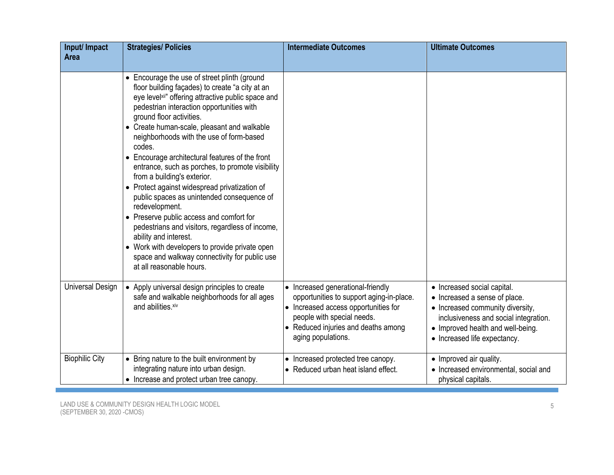| Input/ Impact<br>Area | <b>Strategies/ Policies</b>                                                                                                                                                                                                                                                                                                                                                                                                                                                                                                                                                                                                                                                                                                                                                                                                                       | <b>Intermediate Outcomes</b>                                                                                                                                                                                   | <b>Ultimate Outcomes</b>                                                                                                                                                                                       |
|-----------------------|---------------------------------------------------------------------------------------------------------------------------------------------------------------------------------------------------------------------------------------------------------------------------------------------------------------------------------------------------------------------------------------------------------------------------------------------------------------------------------------------------------------------------------------------------------------------------------------------------------------------------------------------------------------------------------------------------------------------------------------------------------------------------------------------------------------------------------------------------|----------------------------------------------------------------------------------------------------------------------------------------------------------------------------------------------------------------|----------------------------------------------------------------------------------------------------------------------------------------------------------------------------------------------------------------|
|                       |                                                                                                                                                                                                                                                                                                                                                                                                                                                                                                                                                                                                                                                                                                                                                                                                                                                   |                                                                                                                                                                                                                |                                                                                                                                                                                                                |
|                       | • Encourage the use of street plinth (ground<br>floor building façades) to create "a city at an<br>eye levelxii" offering attractive public space and<br>pedestrian interaction opportunities with<br>ground floor activities.<br>• Create human-scale, pleasant and walkable<br>neighborhoods with the use of form-based<br>codes.<br>• Encourage architectural features of the front<br>entrance, such as porches, to promote visibility<br>from a building's exterior.<br>• Protect against widespread privatization of<br>public spaces as unintended consequence of<br>redevelopment.<br>• Preserve public access and comfort for<br>pedestrians and visitors, regardless of income,<br>ability and interest.<br>• Work with developers to provide private open<br>space and walkway connectivity for public use<br>at all reasonable hours. |                                                                                                                                                                                                                |                                                                                                                                                                                                                |
| Universal Design      | • Apply universal design principles to create<br>safe and walkable neighborhoods for all ages<br>and abilities.xiv                                                                                                                                                                                                                                                                                                                                                                                                                                                                                                                                                                                                                                                                                                                                | Increased generational-friendly<br>opportunities to support aging-in-place.<br>• Increased access opportunities for<br>people with special needs.<br>• Reduced injuries and deaths among<br>aging populations. | • Increased social capital.<br>• Increased a sense of place.<br>• Increased community diversity,<br>inclusiveness and social integration.<br>• Improved health and well-being.<br>• Increased life expectancy. |
| <b>Biophilic City</b> | • Bring nature to the built environment by<br>integrating nature into urban design.<br>• Increase and protect urban tree canopy.                                                                                                                                                                                                                                                                                                                                                                                                                                                                                                                                                                                                                                                                                                                  | Increased protected tree canopy.<br>$\bullet$<br>• Reduced urban heat island effect.                                                                                                                           | • Improved air quality.<br>• Increased environmental, social and<br>physical capitals.                                                                                                                         |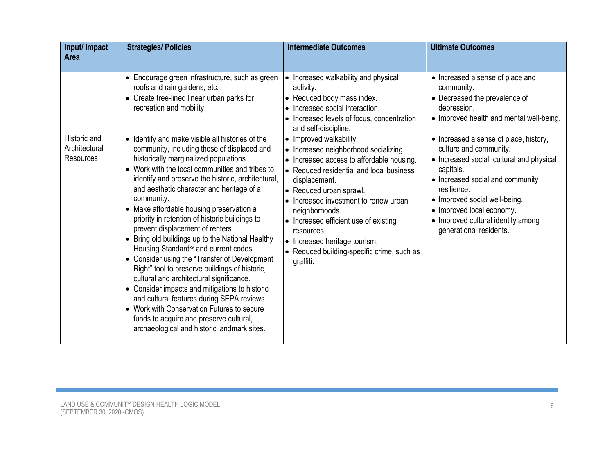| Input/ Impact<br><b>Area</b> | <b>Strategies/ Policies</b>                                                                                                                                                                                                                                                                                                                                                                                                                                                                                                                                                                                                                                                                                                                                                                                                                                                                  | <b>Intermediate Outcomes</b>                                                                                                                                                                                                                                                                                                                                                             | <b>Ultimate Outcomes</b>                                                                                                                                                                                                                                           |
|------------------------------|----------------------------------------------------------------------------------------------------------------------------------------------------------------------------------------------------------------------------------------------------------------------------------------------------------------------------------------------------------------------------------------------------------------------------------------------------------------------------------------------------------------------------------------------------------------------------------------------------------------------------------------------------------------------------------------------------------------------------------------------------------------------------------------------------------------------------------------------------------------------------------------------|------------------------------------------------------------------------------------------------------------------------------------------------------------------------------------------------------------------------------------------------------------------------------------------------------------------------------------------------------------------------------------------|--------------------------------------------------------------------------------------------------------------------------------------------------------------------------------------------------------------------------------------------------------------------|
| Historic and                 | • Encourage green infrastructure, such as green<br>roofs and rain gardens, etc.<br>• Create tree-lined linear urban parks for<br>recreation and mobility.<br>• Identify and make visible all histories of the                                                                                                                                                                                                                                                                                                                                                                                                                                                                                                                                                                                                                                                                                | • Increased walkability and physical<br>activity.<br>• Reduced body mass index.<br>• Increased social interaction.<br>• Increased levels of focus, concentration<br>and self-discipline.<br>• Improved walkability.                                                                                                                                                                      | • Increased a sense of place and<br>community.<br>• Decreased the prevalence of<br>depression.<br>• Improved health and mental well-being.<br>• Increased a sense of place, history,                                                                               |
| Architectural<br>Resources   | community, including those of displaced and<br>historically marginalized populations.<br>• Work with the local communities and tribes to<br>identify and preserve the historic, architectural,<br>and aesthetic character and heritage of a<br>community.<br>• Make affordable housing preservation a<br>priority in retention of historic buildings to<br>prevent displacement of renters.<br>• Bring old buildings up to the National Healthy<br>Housing Standard <sup>xv</sup> and current codes.<br>• Consider using the "Transfer of Development"<br>Right" tool to preserve buildings of historic,<br>cultural and architectural significance.<br>• Consider impacts and mitigations to historic<br>and cultural features during SEPA reviews.<br>• Work with Conservation Futures to secure<br>funds to acquire and preserve cultural,<br>archaeological and historic landmark sites. | • Increased neighborhood socializing.<br>• Increased access to affordable housing.<br>• Reduced residential and local business<br>displacement.<br>• Reduced urban sprawl.<br>• Increased investment to renew urban<br>neighborhoods.<br>• Increased efficient use of existing<br>resources.<br>• Increased heritage tourism.<br>• Reduced building-specific crime, such as<br>graffiti. | culture and community.<br>• Increased social, cultural and physical<br>capitals.<br>• Increased social and community<br>resilience.<br>• Improved social well-being.<br>• Improved local economy.<br>• Improved cultural identity among<br>generational residents. |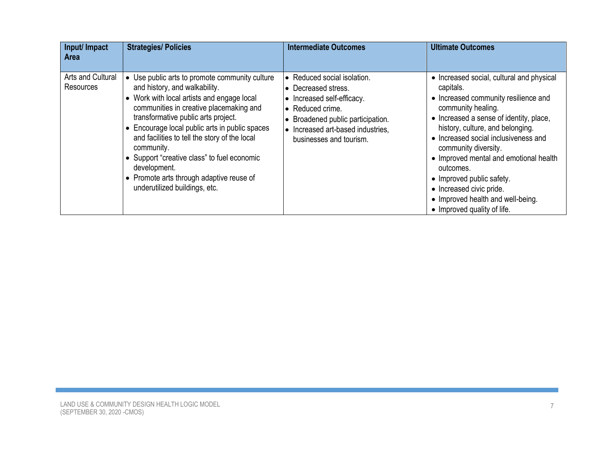| Input/ Impact<br><b>Area</b>   | <b>Strategies/ Policies</b>                                                                                                                                                                                                                                                                                                                                                                                                                                                  | <b>Intermediate Outcomes</b>                                                                                                                                                                              | <b>Ultimate Outcomes</b>                                                                                                                                                                                                                                                                                                                                                                                                                                |
|--------------------------------|------------------------------------------------------------------------------------------------------------------------------------------------------------------------------------------------------------------------------------------------------------------------------------------------------------------------------------------------------------------------------------------------------------------------------------------------------------------------------|-----------------------------------------------------------------------------------------------------------------------------------------------------------------------------------------------------------|---------------------------------------------------------------------------------------------------------------------------------------------------------------------------------------------------------------------------------------------------------------------------------------------------------------------------------------------------------------------------------------------------------------------------------------------------------|
|                                |                                                                                                                                                                                                                                                                                                                                                                                                                                                                              |                                                                                                                                                                                                           |                                                                                                                                                                                                                                                                                                                                                                                                                                                         |
| Arts and Cultural<br>Resources | • Use public arts to promote community culture<br>and history, and walkability.<br>• Work with local artists and engage local<br>communities in creative placemaking and<br>transformative public arts project.<br>• Encourage local public arts in public spaces<br>and facilities to tell the story of the local<br>community.<br>• Support "creative class" to fuel economic<br>development.<br>• Promote arts through adaptive reuse of<br>underutilized buildings, etc. | • Reduced social isolation.<br>• Decreased stress.<br>• Increased self-efficacy.<br>• Reduced crime.<br>• Broadened public participation.<br>• Increased art-based industries,<br>businesses and tourism. | • Increased social, cultural and physical<br>capitals.<br>• Increased community resilience and<br>community healing.<br>• Increased a sense of identity, place,<br>history, culture, and belonging.<br>• Increased social inclusiveness and<br>community diversity.<br>• Improved mental and emotional health<br>outcomes.<br>• Improved public safety.<br>• Increased civic pride.<br>• Improved health and well-being.<br>• Improved quality of life. |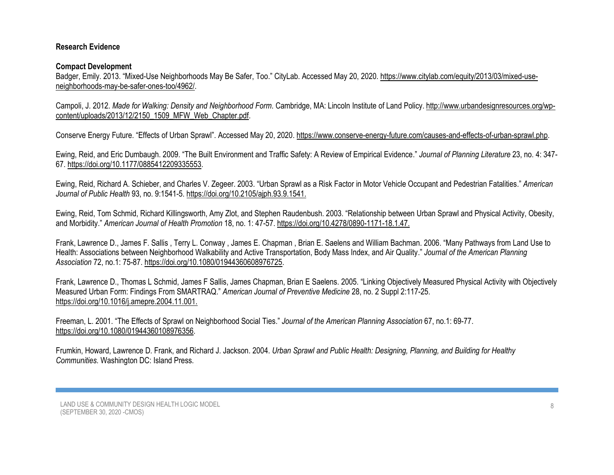## **Research Evidence**

## **Compact Development**

Badger, Emily. 2013. "Mixed-Use Neighborhoods May Be Safer, Too." CityLab. Accessed May 20, 2020. [https://www.citylab.com/equity/2013/03/mixed-use](https://www.citylab.com/equity/2013/03/mixed-use-neighborhoods-may-be-safer-ones-too/4962/)[neighborhoods-may-be-safer-ones-too/4962/.](https://www.citylab.com/equity/2013/03/mixed-use-neighborhoods-may-be-safer-ones-too/4962/)

Campoli, J. 2012. *Made for Walking: Density and Neighborhood Form*. Cambridge, MA: Lincoln Institute of Land Policy. [http://www.urbandesignresources.org/wp](http://www.urbandesignresources.org/wp-content/uploads/2013/12/2150_1509_MFW_Web_Chapter.pdf)[content/uploads/2013/12/2150\\_1509\\_MFW\\_Web\\_Chapter.pdf.](http://www.urbandesignresources.org/wp-content/uploads/2013/12/2150_1509_MFW_Web_Chapter.pdf)

Conserve Energy Future. "Effects of Urban Sprawl". Accessed May 20, 2020[. https://www.conserve-energy-future.com/causes-and-effects-of-urban-sprawl.php.](https://www.conserve-energy-future.com/causes-and-effects-of-urban-sprawl.php)

Ewing, Reid, and Eric Dumbaugh. 2009. "The Built Environment and Traffic Safety: A Review of Empirical Evidence." *Journal of Planning Literature* 23, no. 4: 347- 67. [https://doi.org/10.1177/0885412209335553.](https://doi.org/10.1177%2F0885412209335553)

Ewing, Reid, Richard A. Schieber, and Charles V. Zegeer. 2003. "Urban Sprawl as a Risk Factor in Motor Vehicle Occupant and Pedestrian Fatalities." *American Journal of Public Health* 93, no. 9:1541-5. https://doi.or[g/10.2105/ajph.93.9.1541.](https://doi.org/10.2105/ajph.93.9.1541) 

Ewing, Reid, Tom Schmid, Richard Killingsworth, Amy Zlot, and Stephen Raudenbush. 2003. "Relationship between Urban Sprawl and Physical Activity, Obesity, and Morbidity." *American Journal of Health Promotion* 18, no. 1: 47-57. https://doi.or[g/10.4278/0890-1171-18.1.47.](https://doi.org/10.4278/0890-1171-18.1.47)

Frank, Lawrence D., James F. Sallis , Terry L. Conway , James E. Chapman , Brian E. Saelens and William Bachman. 2006. "Many Pathways from Land Use to Health: Associations between Neighborhood Walkability and Active Transportation, Body Mass Index, and Air Quality." *Journal of the American Planning Association* 72, no.1: 75-87. [https://doi.org/10.1080/01944360608976725.](https://doi.org/10.1080/01944360608976725)

Frank, Lawrence D., Thomas L Schmid, James F Sallis, James Chapman, Brian E Saelens. 2005. "Linking Objectively Measured Physical Activity with Objectively Measured Urban Form: Findings From SMARTRAQ." *American Journal of Preventive Medicine* 28, no. 2 Suppl 2:117-25. https://doi.org[/10.1016/j.amepre.2004.11.001.](https://doi.org/10.1016/j.amepre.2004.11.001) 

Freeman, L. 2001. "The Effects of Sprawl on Neighborhood Social Ties." *Journal of the American Planning Association* 67, no.1: 69-77. [https://doi.org/10.1080/01944360108976356.](https://doi.org/10.1080/01944360108976356)

Frumkin, Howard, Lawrence D. Frank, and Richard J. Jackson. 2004. *Urban Sprawl and Public Health: Designing, Planning, and Building for Healthy Communities.* Washington DC: Island Press.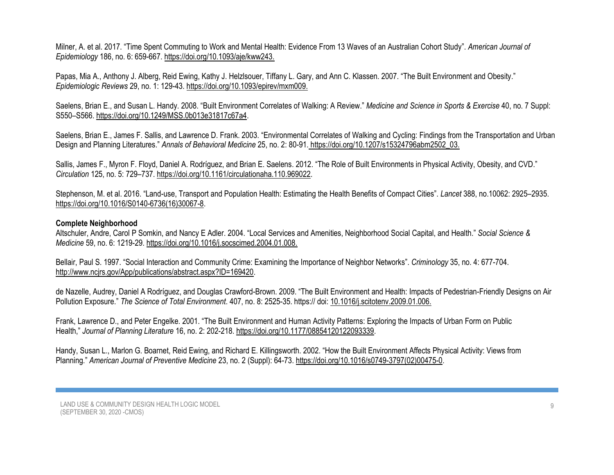Milner, A. et al. 2017. "Time Spent Commuting to Work and Mental Health: Evidence From 13 Waves of an Australian Cohort Study". *American Journal of Epidemiology* 186, no. 6: 659-667. https://doi.org[/10.1093/aje/kww243.](https://doi.org/10.1093/aje/kww243)

Papas, Mia A., Anthony J. Alberg, Reid Ewing, Kathy J. Helzlsouer, Tiffany L. Gary, and Ann C. Klassen. 2007. "The Built Environment and Obesity." *Epidemiologic Reviews* 29, no. 1: 129-43. https://doi.or[g/10.1093/epirev/mxm009.](https://doi.org/10.1093/epirev/mxm009) 

Saelens, Brian E., and Susan L. Handy. 2008. "Built Environment Correlates of Walking: A Review." *Medicine and Science in Sports & Exercise* 40, no. 7 Suppl: S550–S566. https://doi.org[/10.1249/MSS.0b013e31817c67a4.](https://dx.doi.org/10.1249%2FMSS.0b013e31817c67a4)

Saelens, Brian E., James F. Sallis, and Lawrence D. Frank. 2003. "Environmental Correlates of Walking and Cycling: Findings from the Transportation and Urban Design and Planning Literatures." *Annals of Behavioral Medicine* 25, no. 2: 80-91. https://doi.or[g/10.1207/s15324796abm2502\\_03.](https://doi.org/10.1207/S15324796ABM2502_03)

Sallis, James F., Myron F. Floyd, Daniel A. Rodríguez, and Brian E. Saelens. 2012. "The Role of Built Environments in Physical Activity, Obesity, and CVD." *Circulation* 125, no. 5: 729–737. https://doi.or[g/10.1161/circulationaha.110.969022.](https://dx.doi.org/10.1161%2FCIRCULATIONAHA.110.969022)

Stephenson, M. et al. 2016. "Land-use, Transport and Population Health: Estimating the Health Benefits of Compact Cities". *Lancet* 388, no.10062: 2925–2935. https://doi.org[/10.1016/S0140-6736\(16\)30067-8.](https://dx.doi.org/10.1016%2FS0140-6736(16)30067-8)

#### **Complete Neighborhood**

Altschuler, Andre, Carol P Somkin, and Nancy E Adler. 2004. "Local Services and Amenities, Neighborhood Social Capital, and Health." *Social Science & Medicine* 59, no. 6: 1219-29. https://doi.org[/10.1016/j.socscimed.2004.01.008.](https://doi.org/10.1016/j.socscimed.2004.01.008) 

Bellair, Paul S. 1997. "Social Interaction and Community Crime: Examining the Importance of Neighbor Networks". *Criminology* 35, no. 4: 677-704. [http://www.ncjrs.gov/App/publications/abstract.aspx?ID=169420.](https://www.ncjrs.gov/App/Publications/abstract.aspx?ID=169420)

de Nazelle, Audrey, Daniel A Rodríguez, and Douglas Crawford-Brown. 2009. "The Built Environment and Health: Impacts of Pedestrian-Friendly Designs on Air Pollution Exposure." *The Science of Total Environment*. 407, no. 8: 2525-35. https:// doi: [10.1016/j.scitotenv.2009.01.006.](https://doi.org/10.1016/j.scitotenv.2009.01.006) 

Frank, Lawrence D., and Peter Engelke. 2001. "The Built Environment and Human Activity Patterns: Exploring the Impacts of Urban Form on Public Health," *Journal of Planning Literature* 16, no. 2: 202-218[. https://doi.org/10.1177/08854120122093339.](https://doi.org/10.1177%2F08854120122093339)

Handy, Susan L., Marlon G. Boarnet, Reid Ewing, and Richard E. Killingsworth. 2002. "How the Built Environment Affects Physical Activity: Views from Planning." *American Journal of Preventive Medicine* 23, no. 2 (Suppl): 64-73. https://doi.or[g/10.1016/s0749-3797\(02\)00475-0.](https://doi.org/10.1016/s0749-3797(02)00475-0)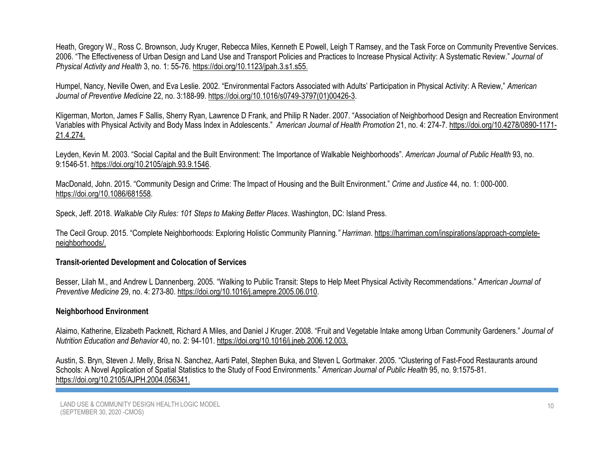Heath, Gregory W., Ross C. Brownson, Judy Kruger, Rebecca Miles, Kenneth E Powell, Leigh T Ramsey, and the Task Force on Community Preventive Services. 2006. "The Effectiveness of Urban Design and Land Use and Transport Policies and Practices to Increase Physical Activity: A Systematic Review." *Journal of Physical Activity and Health* 3, no. 1: 55-76. https://doi.or[g/10.1123/jpah.3.s1.s55.](https://doi.org/10.1123/jpah.3.s1.s55) 

Humpel, Nancy, Neville Owen, and Eva Leslie. 2002. "Environmental Factors Associated with Adults' Participation in Physical Activity: A Review," *American Journal of Preventive Medicine* 22, no. 3:188-99. https://doi.org[/10.1016/s0749-3797\(01\)00426-3.](https://doi.org/10.1016/s0749-3797(01)00426-3)

Kligerman, Morton, James F Sallis, Sherry Ryan, Lawrence D Frank, and Philip R Nader. 2007. "Association of Neighborhood Design and Recreation Environment Variables with Physical Activity and Body Mass Index in Adolescents." *American Journal of Health Promotion* 21, no. 4: 274-7. https://doi.or[g/10.4278/0890-1171-](https://doi.org/10.4278/0890-1171-21.4.274) [21.4.274.](https://doi.org/10.4278/0890-1171-21.4.274) 

Leyden, Kevin M. 2003. "Social Capital and the Built Environment: The Importance of Walkable Neighborhoods". *American Journal of Public Health* 93, no. 9:1546-51. https://doi.org[/10.2105/ajph.93.9.1546.](https://dx.doi.org/10.2105%2Fajph.93.9.1546)

MacDonald, John. 2015. "Community Design and Crime: The Impact of Housing and the Built Environment." *Crime and Justice* 44, no. 1: 000-000. https://doi.org[/10.1086/681558.](https://www.researchgate.net/deref/http%3A%2F%2Fdx.doi.org%2F10.1086%2F681558)

Speck, Jeff. 2018. *Walkable City Rules: 101 Steps to Making Better Places*. Washington, DC: Island Press.

The Cecil Group. 2015. "Complete Neighborhoods: Exploring Holistic Community Planning*." Harriman*. [https://harriman.com/inspirations/approach-complete](https://harriman.com/inspirations/approach-complete-neighborhoods/)[neighborhoods/.](https://harriman.com/inspirations/approach-complete-neighborhoods/)

### **Transit-oriented Development and Colocation of Services**

Besser, Lilah M., and Andrew L Dannenberg. 2005. "Walking to Public Transit: Steps to Help Meet Physical Activity Recommendations." *American Journal of Preventive Medicine* 29, no. 4: 273-80. https://doi.org[/10.1016/j.amepre.2005.06.010.](https://doi.org/10.1016/j.amepre.2005.06.010)

## **Neighborhood Environment**

Alaimo, Katherine, Elizabeth Packnett, Richard A Miles, and Daniel J Kruger. 2008. "Fruit and Vegetable Intake among Urban Community Gardeners." *Journal of Nutrition Education and Behavior* 40, no. 2: 94-101. https://doi.org[/10.1016/j.jneb.2006.12.003.](https://doi.org/10.1016/j.jneb.2006.12.003) 

Austin, S. Bryn, Steven J. Melly, Brisa N. Sanchez, Aarti Patel, Stephen Buka, and Steven L Gortmaker. 2005. "Clustering of Fast-Food Restaurants around Schools: A Novel Application of Spatial Statistics to the Study of Food Environments." *American Journal of Public Health* 95, no. 9:1575-81. https://doi.org[/10.2105/AJPH.2004.056341.](https://doi.org/10.2105/ajph.2004.056341)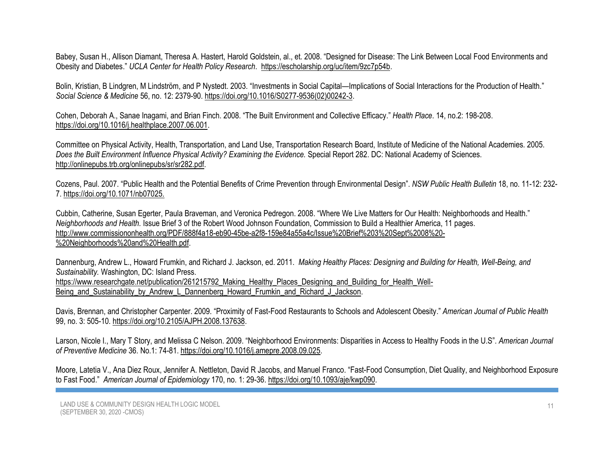Babey, Susan H., Allison Diamant, Theresa A. Hastert, Harold Goldstein, al., et. 2008. "Designed for Disease: The Link Between Local Food Environments and Obesity and Diabetes." *UCLA Center for Health Policy Research*. [https://escholarship.org/uc/item/9zc7p54b.](https://escholarship.org/uc/item/9zc7p54b)

Bolin, Kristian, B Lindgren, M Lindström, and P Nystedt. 2003. "Investments in Social Capital—Implications of Social Interactions for the Production of Health." *Social Science & Medicine* 56, no. 12: 2379-90. [https://doi.org/10.1016/S0277-9536\(02\)00242-3.](https://doi.org/10.1016/S0277-9536(02)00242-3)

Cohen, Deborah A., Sanae Inagami, and Brian Finch. 2008. "The Built Environment and Collective Efficacy." *Health Place*. 14, no.2: 198-208. https://doi.org[/10.1016/j.healthplace.2007.06.001.](https://dx.doi.org/10.1016%2Fj.healthplace.2007.06.001)

Committee on Physical Activity, Health, Transportation, and Land Use, Transportation Research Board, Institute of Medicine of the National Academies*.* 2005. *Does the Built Environment Influence Physical Activity? Examining the Evidence. Special Report 282. DC: National Academy of Sciences.* [http://onlinepubs.trb.org/onlinepubs/sr/sr282.pdf.](http://onlinepubs.trb.org/onlinepubs/sr/sr282.pdf)

Cozens, Paul. 2007. "Public Health and the Potential Benefits of Crime Prevention through Environmental Design". *NSW Public Health Bulletin* 18, no. 11-12: 232- 7. https://doi.org[/10.1071/nb07025.](https://doi.org/10.1071/nb07025) 

Cubbin, Catherine, Susan Egerter, Paula Braveman, and Veronica Pedregon. 2008. "Where We Live Matters for Our Health: Neighborhoods and Health." *Neighborhoods and Health.* Issue Brief 3 of the Robert Wood Johnson Foundation, Commission to Build a Healthier America, 11 pages. [http://www.commissiononhealth.org/PDF/888f4a18-eb90-45be-a2f8-159e84a55a4c/Issue%20Brief%203%20Sept%2008%20-](http://www.commissiononhealth.org/PDF/888f4a18-eb90-45be-a2f8-159e84a55a4c/Issue%20Brief%203%20Sept%2008%20-%20Neighborhoods%20and%20Health.pdf) [%20Neighborhoods%20and%20Health.pdf.](http://www.commissiononhealth.org/PDF/888f4a18-eb90-45be-a2f8-159e84a55a4c/Issue%20Brief%203%20Sept%2008%20-%20Neighborhoods%20and%20Health.pdf)

Dannenburg, Andrew L., Howard Frumkin, and Richard J. Jackson, ed. 2011. *Making Healthy Places: Designing and Building for Health, Well-Being, and Sustainability.* Washington, DC: Island Press. [https://www.researchgate.net/publication/261215792\\_Making\\_Healthy\\_Places\\_Designing\\_and\\_Building\\_for\\_Health\\_Well-](https://www.researchgate.net/publication/261215792_Making_Healthy_Places_Designing_and_Building_for_Health_Well-Being_and_Sustainability_by_Andrew_L_Dannenberg_Howard_Frumkin_and_Richard_J_Jackson)Being and Sustainability by Andrew L Dannenberg Howard Frumkin and Richard J Jackson.

Davis, Brennan, and Christopher Carpenter. 2009. "Proximity of Fast-Food Restaurants to Schools and Adolescent Obesity." *American Journal of Public Health* 99, no. 3: 505-10. https://doi.org[/10.2105/AJPH.2008.137638.](https://doi.org/10.2105/ajph.2008.137638)

Larson, Nicole I., Mary T Story, and Melissa C Nelson. 2009. "Neighborhood Environments: Disparities in Access to Healthy Foods in the U.S". *American Journal of Preventive Medicine* 36. No.1: 74-81. https://doi.org[/10.1016/j.amepre.2008.09.025.](https://doi.org/10.1016/j.amepre.2008.09.025)

Moore, Latetia V., Ana Diez Roux, Jennifer A. Nettleton, David R Jacobs, and Manuel Franco. "Fast-Food Consumption, Diet Quality, and Neighborhood Exposure to Fast Food." *American Journal of Epidemiology* 170, no. 1: 29-36. https://doi.org[/10.1093/aje/kwp090.](https://www.researchgate.net/deref/http%3A%2F%2Fdx.doi.org%2F10.1093%2Faje%2Fkwp090)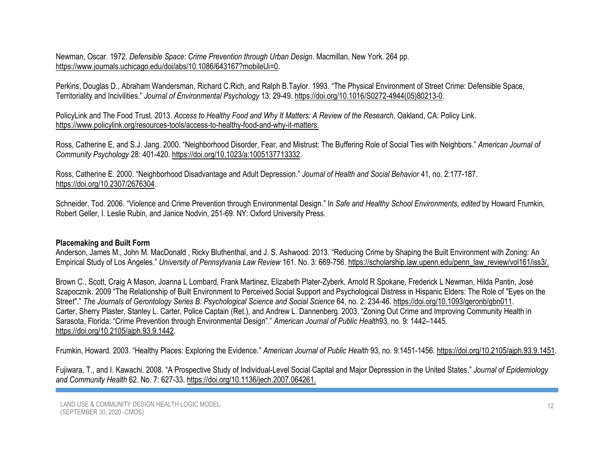### Newman, Oscar. 1972. *Defensible Space: Crime Prevention through Urban Design*. Macmillan, New York. 264 pp. [https://www.journals.uchicago.edu/doi/abs/10.1086/643167?mobileUi=0.](https://www.journals.uchicago.edu/doi/abs/10.1086/643167?mobileUi=0)

Perkins, Douglas D., Abraham Wandersman, Richard C.Rich, and Ralph B.Taylor. 1993. "The Physical Environment of Street Crime: Defensible Space, Territoriality and Incivilities." *Journal of Environmental Psychology* 13: 29-49. [https://doi.org/10.1016/S0272-4944\(05\)80213-0.](https://doi.org/10.1016/S0272-4944(05)80213-0)

PolicyLink and The Food Trust. 2013. *Access to Healthy Food and Why It Matters: A Review of the Research*. Oakland, CA: Policy Link. [https://www.policylink.org/resources-tools/access-to-healthy-food-and-why-it-matters.](https://www.policylink.org/resources-tools/access-to-healthy-food-and-why-it-matters)

Ross, Catherine E, and S.J. Jang. 2000. "Neighborhood Disorder, Fear, and Mistrust: The Buffering Role of Social Ties with Neighbors." *American Journal of Community Psychology* 28: 401-420. https://doi.org[/10.1023/a:1005137713332.](https://doi.org/10.1023/a:1005137713332)

Ross, Catherine E. 2000. "Neighborhood Disadvantage and Adult Depression." *Journal of Health and Social Behavior* 41, no. 2:177-187. https://doi.org[/10.2307/2676304.](https://www.researchgate.net/deref/http%3A%2F%2Fdx.doi.org%2F10.2307%2F2676304)

Schneider, Tod. 2006. "Violence and Crime Prevention through Environmental Design." In *Safe and Healthy School Environments, edited* by Howard Frumkin, Robert Geller, I. Leslie Rubin, and Janice Nodvin, 251-69. NY: Oxford University Press.

### **Placemaking and Built Form**

Anderson, James M., John M. MacDonald , Ricky Bluthenthal, and J. S. Ashwood. 2013. "Reducing Crime by Shaping the Built Environment with Zoning: An Empirical Study of Los Angeles." *University of Pennsylvania Law Review* 161. No. 3: 669-756. [https://scholarship.law.upenn.edu/penn\\_law\\_review/vol161/iss3/.](https://scholarship.law.upenn.edu/penn_law_review/vol161/iss3/)

Brown C., Scott, Craig A Mason, Joanna L Lombard, Frank Martinez, Elizabeth Plater-Zyberk, Arnold R Spokane, Frederick L Newman, Hilda Pantin, José Szapocznik. 2009 "The Relationship of Built Environment to Perceived Social Support and Psychological Distress in Hispanic Elders: The Role of "Eyes on the Street"." *The Journals of Gerontology Series B: Psychological Science and Social Science* 64, no. 2: 234-46. https://doi.or[g/10.1093/geronb/gbn011.](https://doi.org/10.1093/geronb/gbn011) Carter, Sherry Plaster, Stanley L. Carter, Police Captain (Ret.), and Andrew L. Dannenberg. 2003. "Zoning Out Crime and Improving Community Health in Sarasota, Florida: "Crime Prevention through Environmental Design"." *American Journal of Public Health*93, no. 9: 1442–1445. https://doi.org[/10.2105/ajph.93.9.1442.](https://dx.doi.org/10.2105%2Fajph.93.9.1442)

Frumkin, Howard. 2003. "Healthy Places: Exploring the Evidence." *American Journal of Public Health* 93, no. 9:1451-1456. https://doi.or[g/10.2105/ajph.93.9.1451.](https://dx.doi.org/10.2105%2Fajph.93.9.1451)

Fujiwara, T., and I. Kawachi. 2008. "A Prospective Study of Individual-Level Social Capital and Major Depression in the United States." *Journal of Epidemiology and Community Health* 62. No. 7: 627-33. https://doi.org[/10.1136/jech.2007.064261.](https://doi.org/10.1136/jech.2007.064261)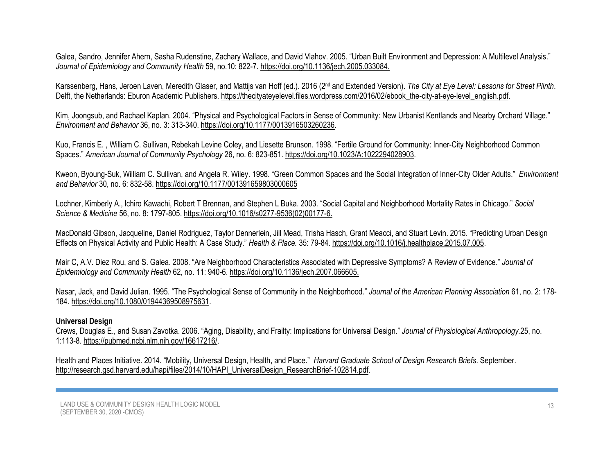Galea, Sandro, Jennifer Ahern, Sasha Rudenstine, Zachary Wallace, and David Vlahov. 2005. "Urban Built Environment and Depression: A Multilevel Analysis." *Journal of Epidemiology and Community Health* 59, no.10: 822-7. https://doi.org[/10.1136/jech.2005.033084.](https://doi.org/10.1136/jech.2005.033084) 

Karssenberg, Hans, Jeroen Laven, Meredith Glaser, and Mattijs van Hoff (ed.). 2016 (2<sup>nd</sup> and Extended Version). The City at Eye Level: Lessons for Street Plinth. Delft, the Netherlands: Eburon Academic Publishers. [https://thecityateyelevel.files.wordpress.com/2016/02/ebook\\_the-city-at-eye-level\\_english.pdf.](https://thecityateyelevel.files.wordpress.com/2016/02/ebook_the-city-at-eye-level_english.pdf)

Kim, Joongsub, and Rachael Kaplan. 2004. "Physical and Psychological Factors in Sense of Community: New Urbanist Kentlands and Nearby Orchard Village." *Environment and Behavior* 36, no. 3: 313-340. [https://doi.org/10.1177/0013916503260236.](https://doi.org/10.1177%2F0013916503260236)

Kuo, Francis E. , William C. Sullivan, Rebekah Levine Coley, and Liesette Brunson. 1998. "Fertile Ground for Community: Inner-City Neighborhood Common Spaces." *American Journal of Community Psychology* 26, no. 6: 823-851. [https://doi.org/10.1023/A:1022294028903.](https://doi.org/10.1023/A:1022294028903)

Kweon, Byoung-Suk, William C. Sullivan, and Angela R. Wiley. 1998. "Green Common Spaces and the Social Integration of Inner-City Older Adults." *Environment and Behavior* 30, no. 6: 832-58. [https://doi.org/10.1177/001391659803000605](https://doi.org/10.1177%2F001391659803000605)

Lochner, Kimberly A., Ichiro Kawachi, Robert T Brennan, and Stephen L Buka. 2003. "Social Capital and Neighborhood Mortality Rates in Chicago." *Social Science & Medicine* 56, no. 8: 1797-805. https://doi.org[/10.1016/s0277-9536\(02\)00177-6.](https://doi.org/10.1016/s0277-9536(02)00177-6) 

MacDonald Gibson, Jacqueline, Daniel [Rodriguez,](https://www.sciencedirect.com/science/article/abs/pii/S1353829215001070#!) Taylor [Dennerlein,](https://www.sciencedirect.com/science/article/abs/pii/S1353829215001070#!) [Jill Mead,](https://www.sciencedirect.com/science/article/abs/pii/S1353829215001070#!) [Trisha Hasch, Grant Meacci](https://www.sciencedirect.com/science/article/abs/pii/S1353829215001070#!), and Stuart Levin. 2015. "Predicting Urban Design Effects on Physical Activity and Public Health: A Case Study." *Health & Place.* 35: 79-84[. https://doi.org/10.1016/j.healthplace.2015.07.005.](https://doi.org/10.1016/j.healthplace.2015.07.005)

Mair C, A.V. Diez Rou, and S. Galea. 2008. "Are Neighborhood Characteristics Associated with Depressive Symptoms? A Review of Evidence." *Journal of Epidemiology and Community Health* 62, no. 11: 940-6. https://doi.or[g/10.1136/jech.2007.066605.](https://doi.org/10.1136/jech.2007.066605) 

Nasar, Jack, and David Julian. 1995. "The Psychological Sense of Community in the Neighborhood." *Journal of the American Planning Association* 61, no. 2: 178- 184. [https://doi.org/10.1080/01944369508975631.](https://doi.org/10.1080/01944369508975631)

### **Universal Design**

Crews, Douglas E., and Susan Zavotka. 2006. "Aging, Disability, and Frailty: Implications for Universal Design." *Journal of Physiological Anthropology.*25, no. 1:113-8. [https://pubmed.ncbi.nlm.nih.gov/16617216/.](https://pubmed.ncbi.nlm.nih.gov/16617216/)

Health and Places Initiative. 2014. "Mobility, Universal Design, Health, and Place." *Harvard Graduate School of Design Research Briefs*. September. [http://research.gsd.harvard.edu/hapi/files/2014/10/HAPI\\_UniversalDesign\\_ResearchBrief-102814.pdf.](http://research.gsd.harvard.edu/hapi/files/2014/10/HAPI_UniversalDesign_ResearchBrief-102814.pdf)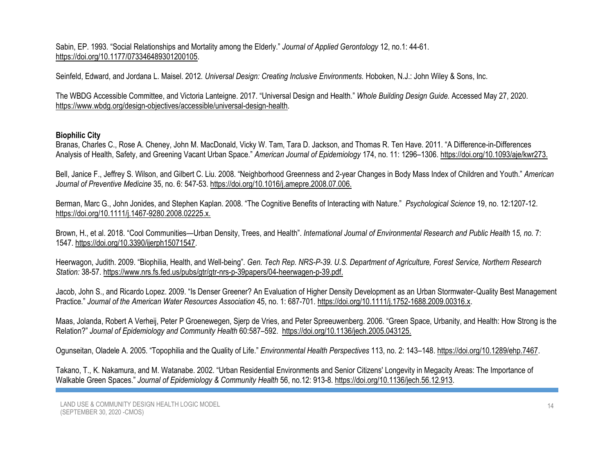Sabin, EP. 1993. "Social Relationships and Mortality among the Elderly." *Journal of Applied Gerontology* 12, no.1: 44-61. [https://doi.org/10.1177/073346489301200105.](https://psycnet.apa.org/doi/10.1177/073346489301200105)

Seinfeld, Edward, and Jordana L. Maisel. 2012*. Universal Design: Creating Inclusive Environments.* Hoboken, N.J.: John Wiley & Sons, Inc.

The WBDG Accessible Committee, and Victoria Lanteigne. 2017. "Universal Design and Health." *Whole Building Design Guide.* Accessed May 27, 2020. [https://www.wbdg.org/design-objectives/accessible/universal-design-health.](https://www.wbdg.org/design-objectives/accessible/universal-design-health)

## **Biophilic City**

Branas, Charles C., Rose A. Cheney, John M. MacDonald, Vicky W. Tam, Tara D. Jackson, and Thomas R. Ten Have. 2011. "A Difference-in-Differences Analysis of Health, Safety, and Greening Vacant Urban Space." *American Journal of Epidemiology* 174, no. 11: 1296–1306. https://doi.org[/10.1093/aje/kwr273.](https://dx.doi.org/10.1093%2Faje%2Fkwr273)

Bell, Janice F., Jeffrey S. Wilson, and Gilbert C. Liu. 2008. "Neighborhood Greenness and 2-year Changes in Body Mass Index of Children and Youth." *American Journal of Preventive Medicine* 35, no. 6: 547-53. https://doi.org[/10.1016/j.amepre.2008.07.006.](https://doi.org/10.1016/j.amepre.2008.07.006)

Berman, Marc G., John Jonides, and Stephen Kaplan. 2008. "The Cognitive Benefits of Interacting with Nature." *Psychological Science* 19, no. 12:1207-12. https://doi.org[/10.1111/j.1467-9280.2008.02225.x.](https://doi.org/10.1111/j.1467-9280.2008.02225.x) 

Brown, H., et al. 2018. "Cool Communities—Urban Density, Trees, and Health". *International Journal of Environmental Research and Public Health* 1*5, no.* 7: 1547. [https://doi.org/10.3390/ijerph15071547.](https://doi.org/10.3390/ijerph15071547)

Heerwagon, Judith. 2009. "Biophilia, Health, and Well-being". *Gen. Tech Rep. NRS-P-39. U.S. Department of Agriculture, Forest Service, Northern Research Station:* 38-57. [https://www.nrs.fs.fed.us/pubs/gtr/gtr-nrs-p-39papers/04-heerwagen-p-39.pdf.](https://www.nrs.fs.fed.us/pubs/gtr/gtr-nrs-p-39papers/04-heerwagen-p-39.pdf)

Jacob, John S., and Ricardo Lopez. 2009. "Is Denser Greener? An Evaluation of Higher Density Development as an Urban Stormwater‐Quality Best Management Practice." *Journal of the American Water Resources Association* 45, no. 1: 687-701[. https://doi.org/10.1111/j.1752-1688.2009.00316.x.](https://doi.org/10.1111/j.1752-1688.2009.00316.x)

Maas, Jolanda, Robert A Verheij, Peter P Groenewegen, Sjerp de Vries, and Peter Spreeuwenberg. 2006. "Green Space, Urbanity, and Health: How Strong is the Relation?" *Journal of Epidemiology and Community Health* 60:587–592. https://doi.org[/10.1136/jech.2005.043125.](https://doi.org/10.1136/jech.2005.043125) 

Ogunseitan, Oladele A. 2005. "Topophilia and the Quality of Life." *Environmental Health Perspectives* 113, no. 2: 143–148. https://doi.org[/10.1289/ehp.7467.](https://dx.doi.org/10.1289%2Fehp.7467)

Takano, T., K. Nakamura, and M. Watanabe. 2002. "Urban Residential Environments and Senior Citizens' Longevity in Megacity Areas: The Importance of Walkable Green Spaces." *Journal of Epidemiology & Community Health* 56, no.12: 913-8. https://doi.org[/10.1136/jech.56.12.913.](https://www.researchgate.net/deref/http%3A%2F%2Fdx.doi.org%2F10.1136%2Fjech.56.12.913)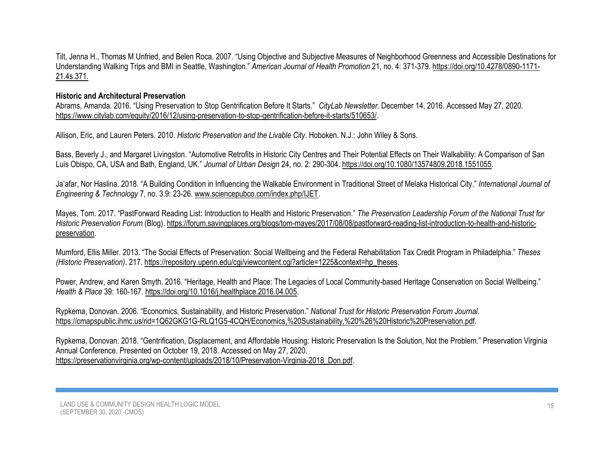Tilt, Jenna H., Thomas M Unfried, and Belen Roca. 2007. "Using Objective and Subjective Measures of Neighborhood Greenness and Accessible Destinations for Understanding Walking Trips and BMI in Seattle, Washington." *American Journal of Health Promotion* 21, no. 4: 371-379. https://doi.org[/10.4278/0890-1171-](https://doi.org/10.4278/0890-1171-21.4s.371) [21.4s.371.](https://doi.org/10.4278/0890-1171-21.4s.371) 

### **Historic and Architectural Preservation**

Abrams, Amanda. 2016. "Using Preservation to Stop Gentrification Before It Starts." *CityLab Newsletter*. December 14, 2016. Accessed May 27, 2020. [https://www.citylab.com/equity/2016/12/using-preservation-to-stop-gentrification-before-it-starts/510653/.](https://www.citylab.com/equity/2016/12/using-preservation-to-stop-gentrification-before-it-starts/510653/)

Allison, Eric, and Lauren Peters. 2010. *Historic Preservation and the Livable City*. Hoboken. N.J.: John Wiley & Sons.

Bass, Beverly J., and Margaret Livingston. "Automotive Retrofits in Historic City Centres and Their Potential Effects on Their Walkability: A Comparison of San Luis Obispo, CA, USA and Bath, England, UK." *Journal of Urban Design* 24, no. 2: 290-304. [https://doi.org/10.1080/13574809.2018.1551055.](https://doi.org/10.1080/13574809.2018.1551055)

Ja'afar, Nor Haslina. 2018. "A Building Condition in Influencing the Walkable Environment in Traditional Street of Melaka Historical City." *International Journal of Engineering & Technology* 7, no. 3.9: 23-26. [www.sciencepubco.com/index.php/IJET.](http://www.sciencepubco.com/index.php/IJET)

Mayes, Tom. 2017. "PastForward Reading List: Introduction to Health and Historic Preservation." *The Preservation Leadership Forum of the National Trust for Historic Preservation Forum* (Blog). [https://forum.savingplaces.org/blogs/tom-mayes/2017/08/08/pastforward-reading-list-introduction-to-health-and-historic](https://forum.savingplaces.org/blogs/tom-mayes/2017/08/08/pastforward-reading-list-introduction-to-health-and-historic-preservation)[preservation.](https://forum.savingplaces.org/blogs/tom-mayes/2017/08/08/pastforward-reading-list-introduction-to-health-and-historic-preservation)

Mumford, Ellis Miller. 2013. "The Social Effects of Preservation: Social Wellbeing and the Federal Rehabilitation Tax Credit Program in Philadelphia." *Theses (Historic Preservation)*. 217. [https://repository.upenn.edu/cgi/viewcontent.cgi?article=1225&context=hp\\_theses.](https://repository.upenn.edu/cgi/viewcontent.cgi?article=1225&context=hp_theses)

Power, Andrew, and Karen Smyth. 2016. "Heritage, Health and Place: The Legacies of Local Community-based Heritage Conservation on Social Wellbeing." *Health & Place* 39: 160-167. [https://doi.org/10.1016/j.healthplace.2016.04.005.](https://doi.org/10.1016/j.healthplace.2016.04.005)

Rypkema, Donovan. 2006. "Economics, Sustainability, and Historic Preservation." *National Trust for Historic Preservation Forum Journal*. [https://cmapspublic.ihmc.us/rid=1Q62GKG1G-RLQ1G5-4CQH/Economics,%20Sustainability,%20%26%20Historic%20Preservation.pdf.](https://cmapspublic.ihmc.us/rid=1Q62GKG1G-RLQ1G5-4CQH/Economics,%20Sustainability,%20%26%20Historic%20Preservation.pdf)

Rypkema, Donovan. 2018. "Gentrification, Displacement, and Affordable Housing: Historic Preservation Is the Solution, Not the Problem." Preservation Virginia Annual Conference. Presented on October 19, 2018. Accessed on May 27, 2020. [https://preservationvirginia.org/wp-content/uploads/2018/10/Preservation-Virginia-2018\\_Don.pdf.](https://preservationvirginia.org/wp-content/uploads/2018/10/Preservation-Virginia-2018_Don.pdf)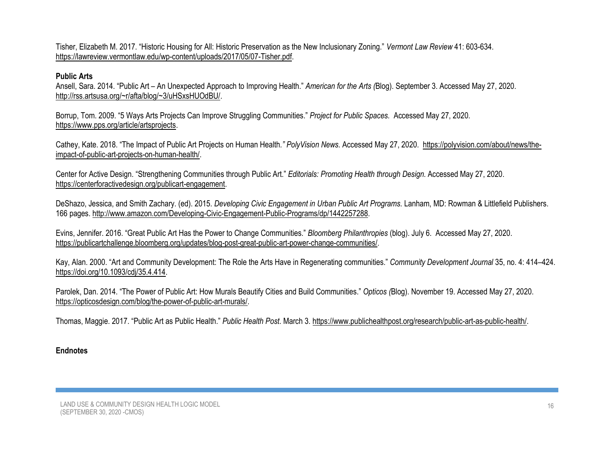Tisher, Elizabeth M. 2017. "Historic Housing for All: Historic Preservation as the New Inclusionary Zoning." *Vermont Law Review* 41: 603-634. [https://lawreview.vermontlaw.edu/wp-content/uploads/2017/05/07-Tisher.pdf.](https://lawreview.vermontlaw.edu/wp-content/uploads/2017/05/07-Tisher.pdf)

## **Public Arts**

Ansell, Sara. 2014. "Public Art – An Unexpected Approach to Improving Health." *American for the Arts (*Blog). September 3. Accessed May 27, 2020. [http://rss.artsusa.org/~r/afta/blog/~3/uHSxsHUOdBU/.](http://rss.artsusa.org/~r/afta/blog/~3/uHSxsHUOdBU/)

Borrup, Tom. 2009. "5 Ways Arts Projects Can Improve Struggling Communities." *Project for Public Spaces.* Accessed May 27, 2020. [https://www.pps.org/article/artsprojects.](https://www.pps.org/article/artsprojects)

Cathey, Kate. 2018. "The Impact of Public Art Projects on Human Health*." PolyVision News.* Accessed May 27, 2020. [https://polyvision.com/about/news/the](https://polyvision.com/about/news/the-impact-of-public-art-projects-on-human-health/)[impact-of-public-art-projects-on-human-health/.](https://polyvision.com/about/news/the-impact-of-public-art-projects-on-human-health/)

Center for Active Design. "Strengthening Communities through Public Art." *Editorials: Promoting Health through Design.* Accessed May 27, 2020. [https://centerforactivedesign.org/publicart-engagement.](https://centerforactivedesign.org/publicart-engagement)

DeShazo, Jessica, and Smith Zachary. (ed). 2015. *Developing Civic Engagement in Urban Public Art Programs.* Lanham, MD: Rowman & Littlefield Publishers. 166 pages. [http://www.amazon.com/Developing-Civic-Engagement-Public-Programs/dp/1442257288.](http://www.amazon.com/Developing-Civic-Engagement-Public-Programs/dp/1442257288)

Evins, Jennifer. 2016. "Great Public Art Has the Power to Change Communities." *Bloomberg Philanthropies* (blog). July 6. Accessed May 27, 2020. [https://publicartchallenge.bloomberg.org/updates/blog-post-great-public-art-power-change-communities/.](https://publicartchallenge.bloomberg.org/updates/blog-post-great-public-art-power-change-communities/)

Kay, Alan. 2000. "Art and Community Development: The Role the Arts Have in Regenerating communities." *Community Development Journal* 35, no. 4: 414–424. [https://doi.org/10.1093/cdj/35.4.414.](https://doi.org/10.1093/cdj/35.4.414)

Parolek, Dan. 2014. "The Power of Public Art: How Murals Beautify Cities and Build Communities." *Opticos (*Blog). November 19. Accessed May 27, 2020. [https://opticosdesign.com/blog/the-power-of-public-art-murals/.](https://opticosdesign.com/blog/the-power-of-public-art-murals/)

Thomas, Maggie. 2017. "Public Art as Public Health." *Public Health Post.* March 3. [https://www.publichealthpost.org/research/public-art-as-public-health/.](https://www.publichealthpost.org/research/public-art-as-public-health/)

## **Endnotes**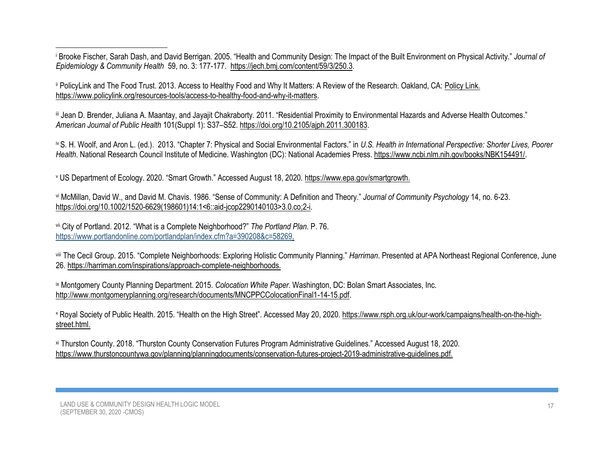<sup>i</sup> Brooke Fischer, Sarah Dash, and David Berrigan. 2005. "Health and Community Design: The Impact of the Built Environment on Physical Activity." *Journal of Epidemiology & Community Health* 59, no. 3: 177-177. [https://jech.bmj.com/content/59/3/250.3.](https://jech.bmj.com/content/59/3/250.3)

ii PolicyLink and The Food Trust. 2013. Access to Healthy Food and Why It Matters: A Review of the Research. Oakland, CA: [Policy Link.](file:///D:/CPP/LU%20LM/Policy%20Link.%20https:/www.policylink.org/resources-tools/access-to-healthy-food-and-why-it-matters)  [https://www.policylink.org/resources-tools/access-to-healthy-food-and-why-it-matters.](file:///D:/CPP/LU%20LM/Policy%20Link.%20https:/www.policylink.org/resources-tools/access-to-healthy-food-and-why-it-matters)

iii Jean D. Brender, Juliana A. Maantay, and Jayajit Chakraborty. 2011. "Residential Proximity to Environmental Hazards and Adverse Health Outcomes." *American Journal of Public Health* 101(Suppl 1): S37–S52. https://doi.org[/10.2105/ajph.2011.300183.](https://dx.doi.org/10.2105%2FAJPH.2011.300183)

iv S. H. Woolf, and Aron L. (ed.). 2013. "Chapter 7: Physical and Social Environmental Factors." in *U.S. Health in International Perspective: Shorter Lives, Poorer Health*. National Research Council Institute of Medicine. Washington (DC): National Academies Press[. https://www.ncbi.nlm.nih.gov/books/NBK154491/.](https://www.ncbi.nlm.nih.gov/books/NBK154491/)

<sup>v</sup> US Department of Ecology. 2020. "Smart Growth." Accessed August 18, 2020. [https://www.epa.gov/smartgrowth.](https://www.epa.gov/smartgrowth)

vi McMillan, David W., and David M. Chavis. 1986. "Sense of Community: A Definition and Theory." *Journal of Community Psychology* 14, no. 6-23. [https://doi.org/10.1002/1520-6629\(198601\)14:1<6::aid-jcop2290140103>3.0.co;2-i.](https://doi.org/10.1002/1520-6629(198601)14:1%3c6::AID-JCOP2290140103%3e3.0.CO;2-I)

vii City of Portland. 2012. "What is a Complete Neighborhood?" *The Portland Plan*. P. 76. [https://www.portlandonline.com/portlandplan/index.cfm?a=390208&c=58269.](https://www.portlandonline.com/portlandplan/index.cfm?a=390208&c=58269)

viii The Cecil Group. 2015. "Complete Neighborhoods: Exploring Holistic Community Planning." *Harriman*. Presented at APA Northeast Regional Conference, June 26. [https://harriman.com/inspirations/approach-complete-neighborhoods.](https://harriman.com/inspirations/approach-complete-neighborhoods)

ix Montgomery County Planning Department. 2015. *Colocation White Paper*. Washington, DC: Bolan Smart Associates, Inc. [http://www.montgomeryplanning.org/research/documents/MNCPPCColocationFinal1-14-15.pdf.](http://www.montgomeryplanning.org/research/documents/MNCPPCColocationFinal1-14-15.pdf)

<sup>x</sup> Royal Society of Public Health. 2015. "Health on the High Street". Accessed May 20, 2020[. https://www.rsph.org.uk/our-work/campaigns/health-on-the-high](https://www.rsph.org.uk/our-work/campaigns/health-on-the-high-street.html)[street.html.](https://www.rsph.org.uk/our-work/campaigns/health-on-the-high-street.html)

xi Thurston County. 2018. "Thurston County Conservation Futures Program Administrative Guidelines." Accessed August 18, 2020. [https://www.thurstoncountywa.gov/planning/planningdocuments/conservation-futures-project-2019-administrative-guidelines.pdf.](https://www.thurstoncountywa.gov/planning/planningdocuments/conservation-futures-project-2019-administrative-guidelines.pdf)